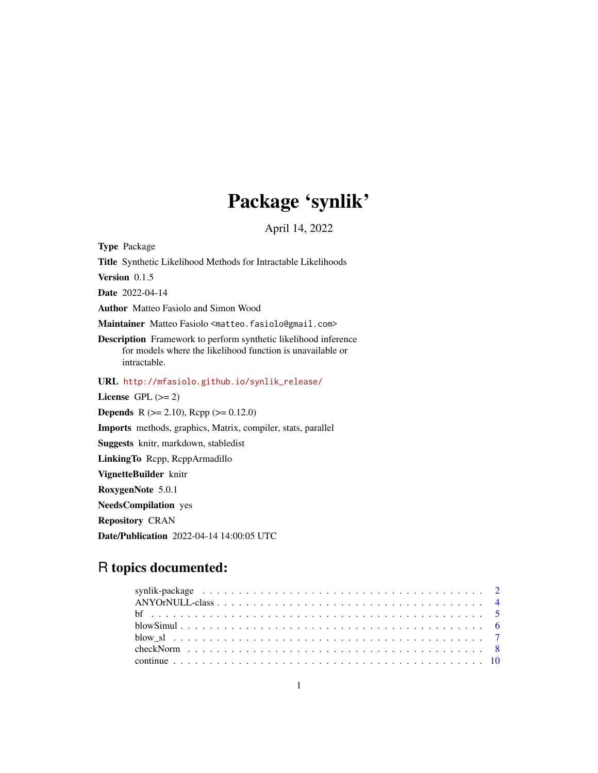# Package 'synlik'

April 14, 2022

<span id="page-0-0"></span>Type Package Title Synthetic Likelihood Methods for Intractable Likelihoods Version 0.1.5 Date 2022-04-14 Author Matteo Fasiolo and Simon Wood Maintainer Matteo Fasiolo <matteo.fasiolo@gmail.com> Description Framework to perform synthetic likelihood inference for models where the likelihood function is unavailable or intractable. URL [http://mfasiolo.github.io/synlik\\_release/](http://mfasiolo.github.io/synlik_release/) License GPL  $(>= 2)$ **Depends** R ( $>= 2.10$ ), Rcpp ( $>= 0.12.0$ ) Imports methods, graphics, Matrix, compiler, stats, parallel Suggests knitr, markdown, stabledist LinkingTo Rcpp, RcppArmadillo VignetteBuilder knitr RoxygenNote 5.0.1 NeedsCompilation yes Repository CRAN

Date/Publication 2022-04-14 14:00:05 UTC

# R topics documented: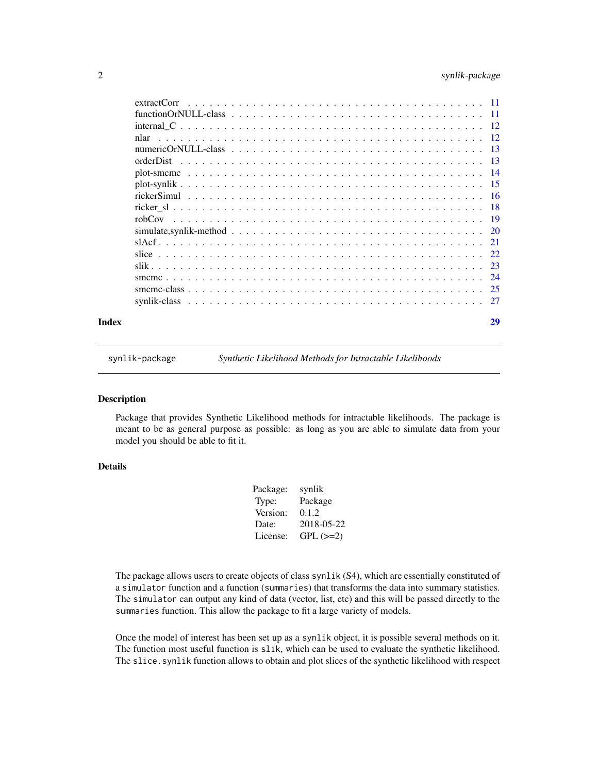<span id="page-1-0"></span>

| Index |             | 29 |
|-------|-------------|----|
|       |             |    |
|       |             |    |
|       |             |    |
|       |             |    |
|       |             |    |
|       |             |    |
|       |             |    |
|       |             |    |
|       |             |    |
|       |             |    |
|       |             |    |
|       |             |    |
|       | orderDist   |    |
|       |             |    |
|       | nlar        |    |
|       |             |    |
|       |             |    |
|       | extractCorr |    |

synlik-package *Synthetic Likelihood Methods for Intractable Likelihoods*

#### Description

Package that provides Synthetic Likelihood methods for intractable likelihoods. The package is meant to be as general purpose as possible: as long as you are able to simulate data from your model you should be able to fit it.

# Details

| synlik     |
|------------|
| Package    |
| 0.1.2      |
| 2018-05-22 |
| $GPL (=2)$ |
|            |

The package allows users to create objects of class synlik (S4), which are essentially constituted of a simulator function and a function (summaries) that transforms the data into summary statistics. The simulator can output any kind of data (vector, list, etc) and this will be passed directly to the summaries function. This allow the package to fit a large variety of models.

Once the model of interest has been set up as a synlik object, it is possible several methods on it. The function most useful function is slik, which can be used to evaluate the synthetic likelihood. The slice. synlik function allows to obtain and plot slices of the synthetic likelihood with respect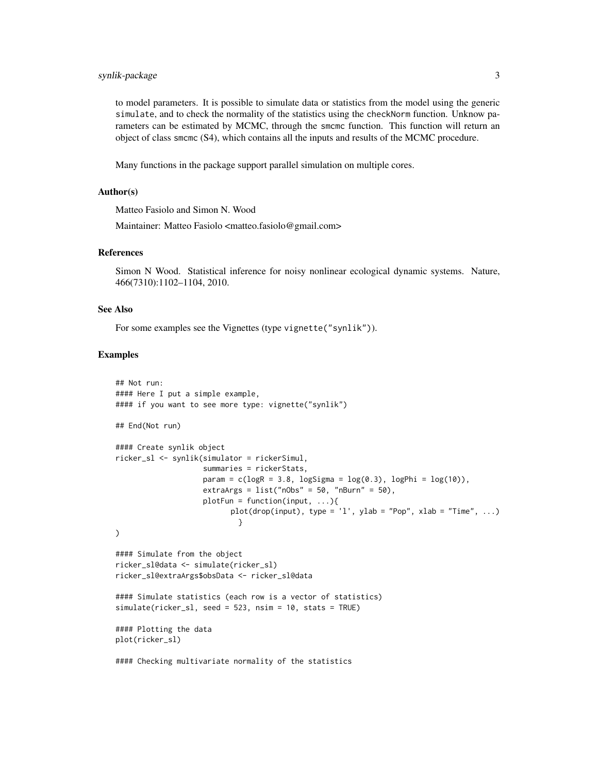# synlik-package 3

to model parameters. It is possible to simulate data or statistics from the model using the generic simulate, and to check the normality of the statistics using the checkNorm function. Unknow parameters can be estimated by MCMC, through the smcmc function. This function will return an object of class smcmc (S4), which contains all the inputs and results of the MCMC procedure.

Many functions in the package support parallel simulation on multiple cores.

#### Author(s)

Matteo Fasiolo and Simon N. Wood

Maintainer: Matteo Fasiolo <matteo.fasiolo@gmail.com>

#### References

Simon N Wood. Statistical inference for noisy nonlinear ecological dynamic systems. Nature, 466(7310):1102–1104, 2010.

#### See Also

For some examples see the Vignettes (type vignette("synlik")).

```
## Not run:
#### Here I put a simple example,
#### if you want to see more type: vignette("synlik")
## End(Not run)
#### Create synlik object
ricker_sl <- synlik(simulator = rickerSimul,
                    summaries = rickerStats,
                    param = c(logR = 3.8, logSigma = log(0.3), logPhi = log(10)),extraArgs = list("nObs" = 50, "nBurn" = 50),
                    plotFun = function(input, ...){plot(drop(input), type = 'l', ylab = "Pop", xlab = "Time", ...)
                            }
)
#### Simulate from the object
ricker_sl@data <- simulate(ricker_sl)
ricker_sl@extraArgs$obsData <- ricker_sl@data
#### Simulate statistics (each row is a vector of statistics)
simulate(ricker_sl, seed = 523, nsim = 10, stats = TRUE)
#### Plotting the data
plot(ricker_sl)
#### Checking multivariate normality of the statistics
```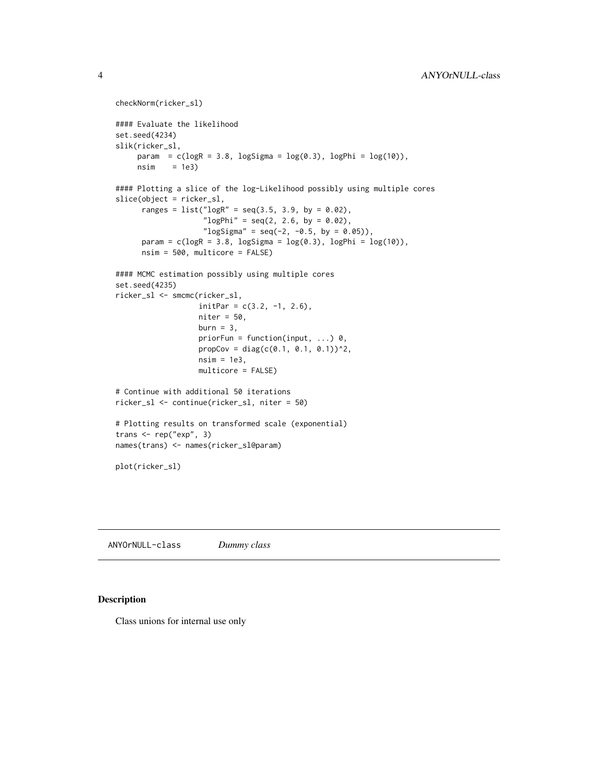```
checkNorm(ricker_sl)
#### Evaluate the likelihood
set.seed(4234)
slik(ricker_sl,
     param = c(logR = 3.8, logSigma = log(0.3), logPhi = log(10)),nsim = 1e3#### Plotting a slice of the log-Likelihood possibly using multiple cores
slice(object = ricker_sl,
      ranges = list("logR" = seq(3.5, 3.9, by = 0.02),
                     "logPhi" = seq(2, 2.6, by = 0.02),"\logSigma" = seq(-2, -0.5, by = 0.05)),
      param = c(\text{log}R = 3.8, \text{log}Sigma = \log(0.3), \text{log}Phi = \log(10)),nsim = 500, multicore = FALSE)
#### MCMC estimation possibly using multiple cores
set.seed(4235)
ricker_sl <- smcmc(ricker_sl,
                   initPar = c(3.2, -1, 2.6),
                   niter = 50,
                   burn = 3,
                   priorFun = function(input, ...) 0,
                   propCov = diag(c(0.1, 0.1, 0.1))<sup>2</sup>,
                   nsim = 1e3,
                   multicore = FALSE)
# Continue with additional 50 iterations
ricker_sl <- continue(ricker_sl, niter = 50)
# Plotting results on transformed scale (exponential)
trans <- rep("exp", 3)
names(trans) <- names(ricker_sl@param)
plot(ricker_sl)
```
ANYOrNULL-class *Dummy class*

#### Description

Class unions for internal use only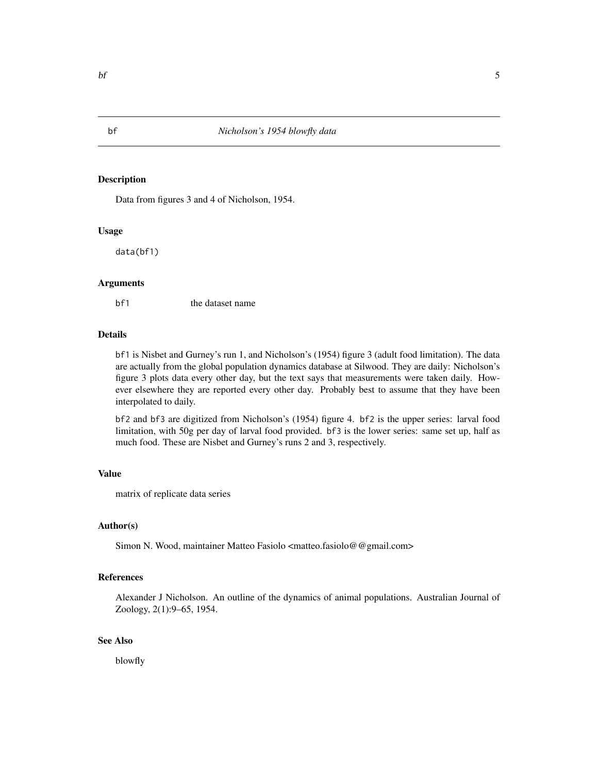Data from figures 3 and 4 of Nicholson, 1954.

#### Usage

data(bf1)

#### Arguments

bf1 the dataset name

#### Details

bf1 is Nisbet and Gurney's run 1, and Nicholson's (1954) figure 3 (adult food limitation). The data are actually from the global population dynamics database at Silwood. They are daily: Nicholson's figure 3 plots data every other day, but the text says that measurements were taken daily. However elsewhere they are reported every other day. Probably best to assume that they have been interpolated to daily.

bf2 and bf3 are digitized from Nicholson's (1954) figure 4. bf2 is the upper series: larval food limitation, with 50g per day of larval food provided. bf3 is the lower series: same set up, half as much food. These are Nisbet and Gurney's runs 2 and 3, respectively.

#### Value

matrix of replicate data series

#### Author(s)

Simon N. Wood, maintainer Matteo Fasiolo <matteo.fasiolo@@gmail.com>

#### References

Alexander J Nicholson. An outline of the dynamics of animal populations. Australian Journal of Zoology, 2(1):9–65, 1954.

### See Also

blowfly

<span id="page-4-0"></span>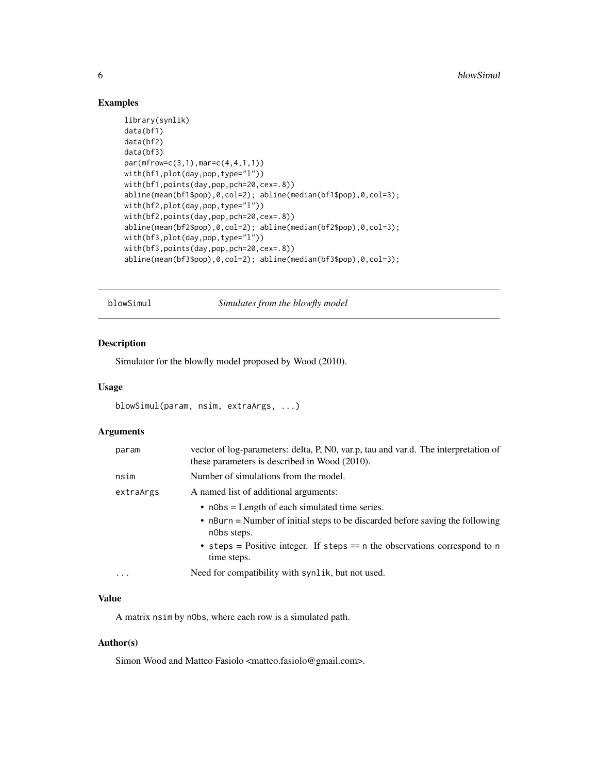# Examples

```
library(synlik)
data(bf1)
data(bf2)
data(bf3)
par(mfrow=c(3,1),mar=c(4,4,1,1))
with(bf1,plot(day,pop,type="l"))
with(bf1,points(day,pop,pch=20,cex=.8))
abline(mean(bf1$pop),0,col=2); abline(median(bf1$pop),0,col=3);
with(bf2,plot(day,pop,type="l"))
with(bf2,points(day,pop,pch=20,cex=.8))
abline(mean(bf2$pop),0,col=2); abline(median(bf2$pop),0,col=3);
with(bf3,plot(day,pop,type="l"))
with(bf3,points(day,pop,pch=20,cex=.8))
abline(mean(bf3$pop),0,col=2); abline(median(bf3$pop),0,col=3);
```
<span id="page-5-1"></span>blowSimul *Simulates from the blowfly model*

# Description

Simulator for the blowfly model proposed by Wood (2010).

#### Usage

```
blowSimul(param, nsim, extraArgs, ...)
```
#### Arguments

| param     | vector of log-parameters: delta, P, N0, var.p, tau and var.d. The interpretation of<br>these parameters is described in Wood (2010). |
|-----------|--------------------------------------------------------------------------------------------------------------------------------------|
| nsim      | Number of simulations from the model.                                                                                                |
| extraArgs | A named list of additional arguments:                                                                                                |
|           | $\bullet$ n0bs = Length of each simulated time series.                                                                               |
|           | • nBurn = Number of initial steps to be discarded before saving the following<br>nobs steps.                                         |
|           | • steps = Positive integer. If steps == $n$ the observations correspond to $n$<br>time steps.                                        |
| $\ddotsc$ | Need for compatibility with synlik, but not used.                                                                                    |

# Value

A matrix nsim by nObs, where each row is a simulated path.

#### Author(s)

Simon Wood and Matteo Fasiolo <matteo.fasiolo@gmail.com>.

<span id="page-5-0"></span>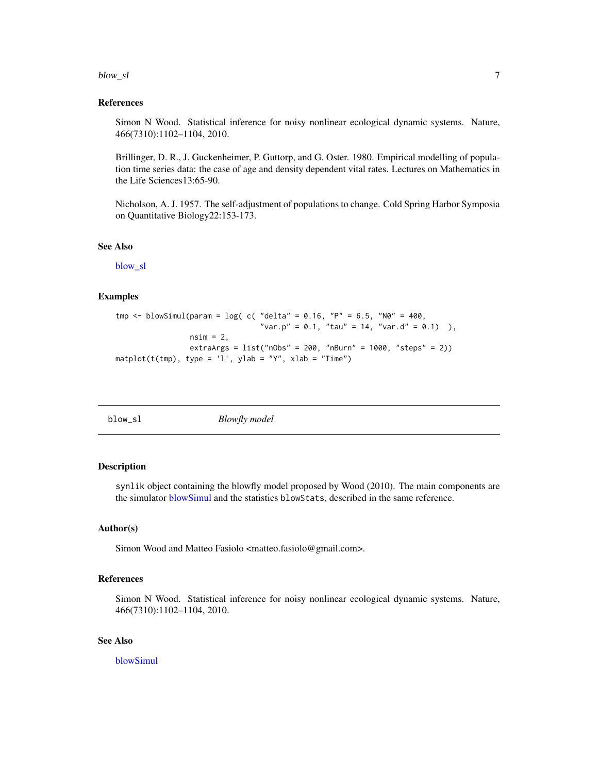#### <span id="page-6-0"></span>blow\_sl  $\sim$  7

#### References

Simon N Wood. Statistical inference for noisy nonlinear ecological dynamic systems. Nature, 466(7310):1102–1104, 2010.

Brillinger, D. R., J. Guckenheimer, P. Guttorp, and G. Oster. 1980. Empirical modelling of population time series data: the case of age and density dependent vital rates. Lectures on Mathematics in the Life Sciences13:65-90.

Nicholson, A. J. 1957. The self-adjustment of populations to change. Cold Spring Harbor Symposia on Quantitative Biology22:153-173.

#### See Also

[blow\\_sl](#page-6-1)

#### Examples

```
tmp <- blowSimul(param = log( c( 'delta' = 0.16, 'P' = 6.5, 'N0' = 400, 'N)"var.p" = 0.1, "tau" = 14, "var.d" = 0.1),
                 nsim = 2,
                 extraArgs = list("nObs" = 200, "nBurn" = 1000, "steps" = 2))
matplot(t(tmp), type = 'l', ylab = "Y", xlab = "Time")
```
<span id="page-6-1"></span>blow\_sl *Blowfly model*

# Description

synlik object containing the blowfly model proposed by Wood (2010). The main components are the simulator [blowSimul](#page-5-1) and the statistics blowStats, described in the same reference.

#### Author(s)

Simon Wood and Matteo Fasiolo <matteo.fasiolo@gmail.com>.

# References

Simon N Wood. Statistical inference for noisy nonlinear ecological dynamic systems. Nature, 466(7310):1102–1104, 2010.

### See Also

[blowSimul](#page-5-1)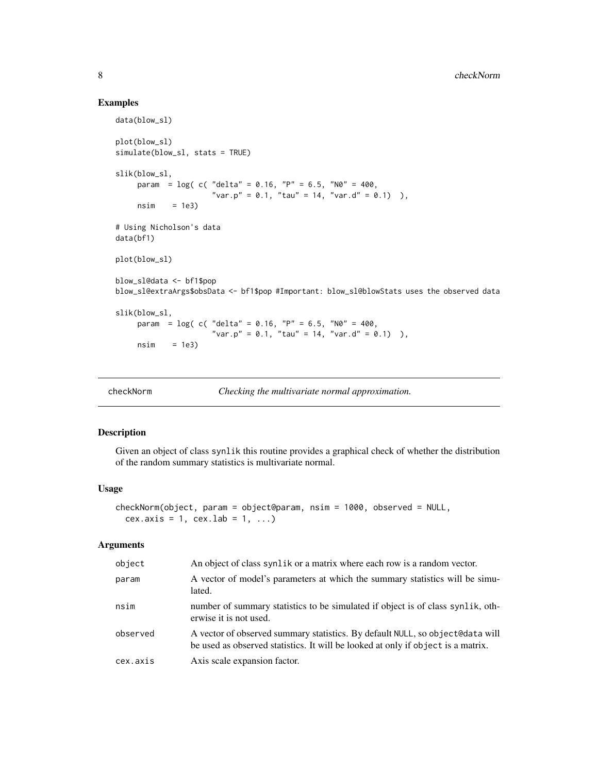#### Examples

```
data(blow_sl)
plot(blow_sl)
simulate(blow_sl, stats = TRUE)
slik(blow_sl,
    param = log( c( "delta" = 0.16, "P" = 6.5, "N0" = 400,"var.p" = 0.1, "tau" = 14, "var.d" = 0.1) ),
     nsim = 1e3# Using Nicholson's data
data(bf1)
plot(blow_sl)
blow_sl@data <- bf1$pop
blow_sl@extraArgs$obsData <- bf1$pop #Important: blow_sl@blowStats uses the observed data
slik(blow_sl,
    param = \log( c( "delta" = 0.16, "P" = 6.5, "N0" = 400,
                     "var.p" = 0.1, "tau" = 14, "var.d" = 0.1) ),
    nsim = 1e3
```

| checkNorm |  |
|-----------|--|
|           |  |

*Checking the multivariate normal approximation.* 

#### Description

Given an object of class synlik this routine provides a graphical check of whether the distribution of the random summary statistics is multivariate normal.

#### Usage

```
checkNorm(object, param = object@param, nsim = 1000, observed = NULL,
 cex.axis = 1, cex.lab = 1, ...)
```
#### Arguments

| object   | An object of class synlik or a matrix where each row is a random vector.                                                                                          |
|----------|-------------------------------------------------------------------------------------------------------------------------------------------------------------------|
| param    | A vector of model's parameters at which the summary statistics will be simu-<br>lated.                                                                            |
| nsim     | number of summary statistics to be simulated if object is of class synlik, oth-<br>erwise it is not used.                                                         |
| observed | A vector of observed summary statistics. By default NULL, so object@data will<br>be used as observed statistics. It will be looked at only if object is a matrix. |
| cex.axis | Axis scale expansion factor.                                                                                                                                      |

<span id="page-7-0"></span>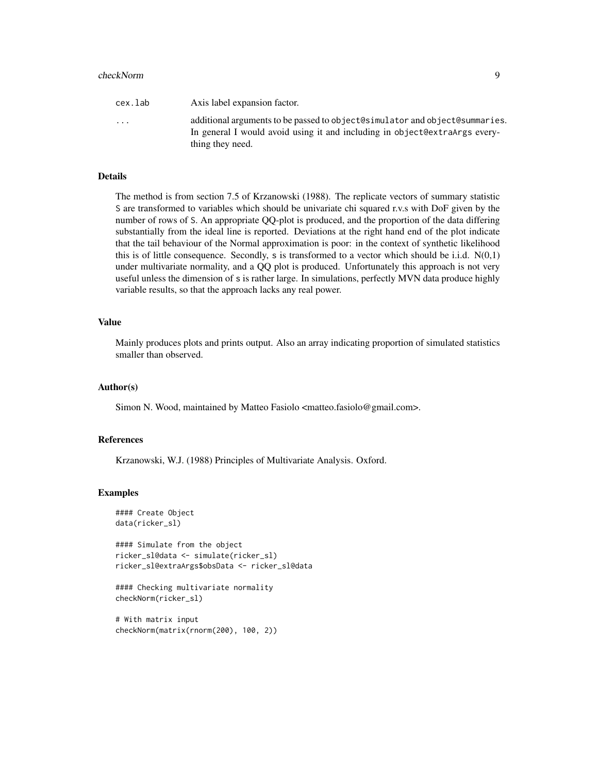#### checkNorm 9

| cex.lab                 | Axis label expansion factor.                                                                                                                                                  |
|-------------------------|-------------------------------------------------------------------------------------------------------------------------------------------------------------------------------|
| $\cdot$ $\cdot$ $\cdot$ | additional arguments to be passed to object@simulator and object@summaries.<br>In general I would avoid using it and including in object@extraArgs every-<br>thing they need. |

# Details

The method is from section 7.5 of Krzanowski (1988). The replicate vectors of summary statistic S are transformed to variables which should be univariate chi squared r.v.s with DoF given by the number of rows of S. An appropriate QQ-plot is produced, and the proportion of the data differing substantially from the ideal line is reported. Deviations at the right hand end of the plot indicate that the tail behaviour of the Normal approximation is poor: in the context of synthetic likelihood this is of little consequence. Secondly, s is transformed to a vector which should be i.i.d.  $N(0,1)$ under multivariate normality, and a QQ plot is produced. Unfortunately this approach is not very useful unless the dimension of s is rather large. In simulations, perfectly MVN data produce highly variable results, so that the approach lacks any real power.

# Value

Mainly produces plots and prints output. Also an array indicating proportion of simulated statistics smaller than observed.

### Author(s)

Simon N. Wood, maintained by Matteo Fasiolo <matteo.fasiolo@gmail.com>.

# References

Krzanowski, W.J. (1988) Principles of Multivariate Analysis. Oxford.

```
#### Create Object
data(ricker_sl)
```

```
#### Simulate from the object
ricker_sl@data <- simulate(ricker_sl)
ricker_sl@extraArgs$obsData <- ricker_sl@data
```

```
#### Checking multivariate normality
checkNorm(ricker_sl)
```

```
# With matrix input
checkNorm(matrix(rnorm(200), 100, 2))
```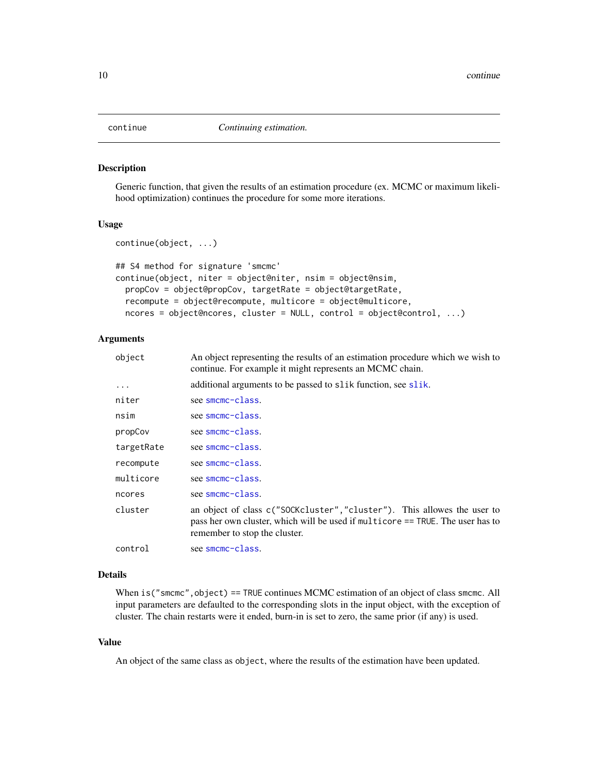<span id="page-9-0"></span>

Generic function, that given the results of an estimation procedure (ex. MCMC or maximum likelihood optimization) continues the procedure for some more iterations.

# Usage

```
continue(object, ...)
## S4 method for signature 'smcmc'
continue(object, niter = object@niter, nsim = object@nsim,
 propCov = object@propCov, targetRate = object@targetRate,
  recompute = object@recompute, multicore = object@multicore,
  ncores = object@ncores, cluster = NULL, control = object@control, ...)
```
# Arguments

| object     | An object representing the results of an estimation procedure which we wish to<br>continue. For example it might represents an MCMC chain.                                                  |
|------------|---------------------------------------------------------------------------------------------------------------------------------------------------------------------------------------------|
| $\cdots$   | additional arguments to be passed to slik function, see slik.                                                                                                                               |
| niter      | see smcmc-class.                                                                                                                                                                            |
| nsim       | see smcmc-class.                                                                                                                                                                            |
| propCov    | see smcmc-class.                                                                                                                                                                            |
| targetRate | see smcmc-class.                                                                                                                                                                            |
| recompute  | see smcmc-class.                                                                                                                                                                            |
| multicore  | see smcmc-class.                                                                                                                                                                            |
| ncores     | see smcmc-class.                                                                                                                                                                            |
| cluster    | an object of class c("SOCKcluster", "cluster"). This allowes the user to<br>pass her own cluster, which will be used if multicore == TRUE. The user has to<br>remember to stop the cluster. |
| control    | see smcmc-class.                                                                                                                                                                            |

#### Details

When is ("smcmc", object) == TRUE continues MCMC estimation of an object of class smcmc. All input parameters are defaulted to the corresponding slots in the input object, with the exception of cluster. The chain restarts were it ended, burn-in is set to zero, the same prior (if any) is used.

### Value

An object of the same class as object, where the results of the estimation have been updated.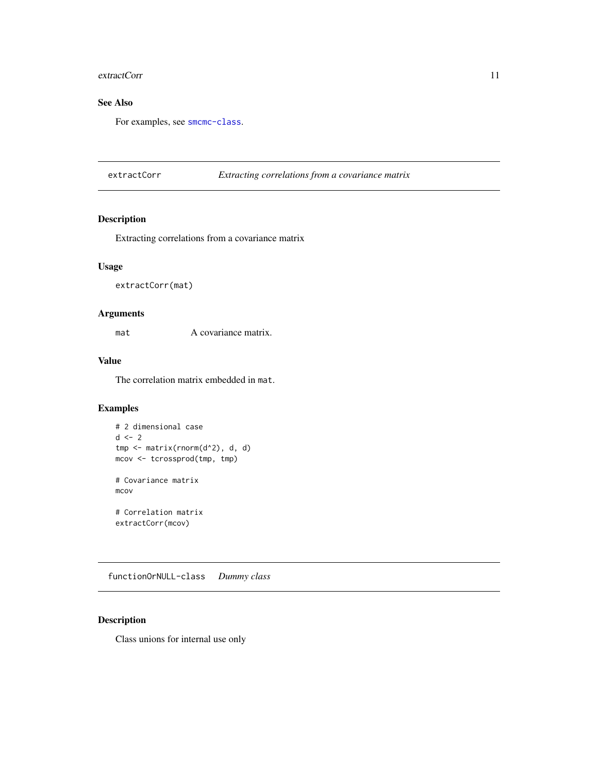#### <span id="page-10-0"></span>extractCorr 11

# See Also

For examples, see [smcmc-class](#page-24-1).

extractCorr *Extracting correlations from a covariance matrix*

# Description

Extracting correlations from a covariance matrix

# Usage

extractCorr(mat)

# Arguments

mat A covariance matrix.

# Value

The correlation matrix embedded in mat.

# Examples

```
# 2 dimensional case
d \leq -2tmp <- matrix(rnorm(d^2), d, d)
mcov <- tcrossprod(tmp, tmp)
# Covariance matrix
mcov
# Correlation matrix
extractCorr(mcov)
```
functionOrNULL-class *Dummy class*

# Description

Class unions for internal use only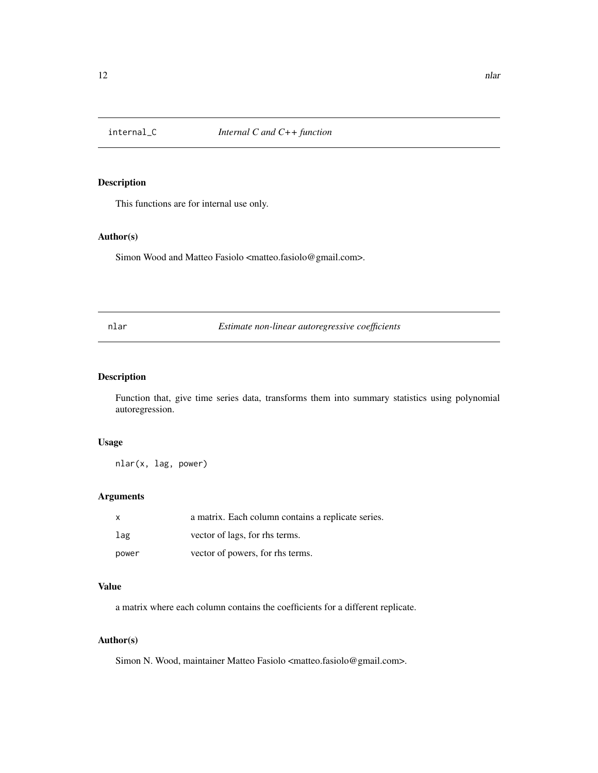<span id="page-11-0"></span>

This functions are for internal use only.

# Author(s)

Simon Wood and Matteo Fasiolo <matteo.fasiolo@gmail.com>.

nlar *Estimate non-linear autoregressive coefficients*

# Description

Function that, give time series data, transforms them into summary statistics using polynomial autoregression.

#### Usage

nlar(x, lag, power)

# Arguments

| $\mathbf{x}$ | a matrix. Each column contains a replicate series. |
|--------------|----------------------------------------------------|
| lag          | vector of lags, for rhs terms.                     |
| power        | vector of powers, for rhs terms.                   |

# Value

a matrix where each column contains the coefficients for a different replicate.

# Author(s)

Simon N. Wood, maintainer Matteo Fasiolo <matteo.fasiolo@gmail.com>.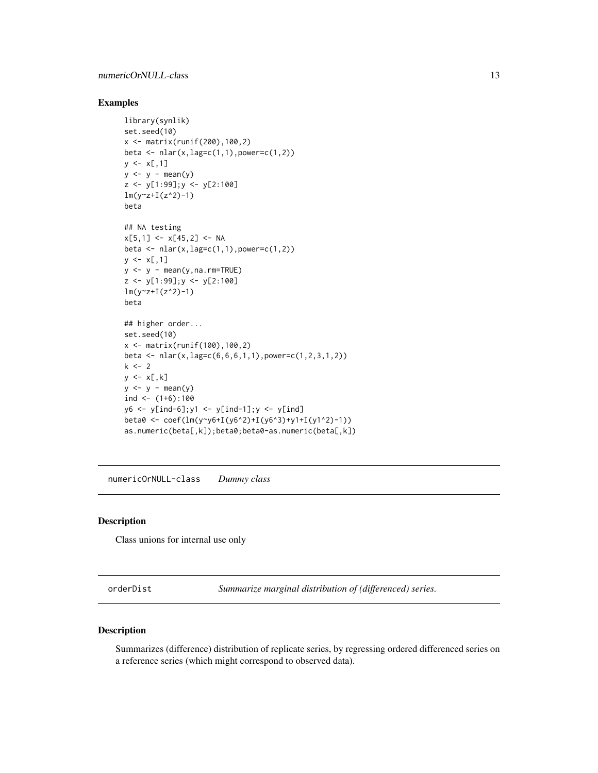# <span id="page-12-0"></span>Examples

```
library(synlik)
set.seed(10)
x <- matrix(runif(200),100,2)
beta <- nlar(x, lag=c(1,1), power=c(1,2))y \leq x[, 1]y \le y - \text{mean}(y)z <- y[1:99];y <- y[2:100]
lm(y-z+I(z^2)-1)beta
## NA testing
x[5,1] <- x[45,2] <- NA
beta \leq - nlar(x, lag=c(1,1), power=c(1,2))
y \leq x[, 1]y \le y - \text{mean}(y,na.\text{rm=TRUE})z <- y[1:99];y <- y[2:100]
lm(y^2+I(z^2)-1)beta
## higher order...
set.seed(10)
x \le - matrix(runif(100),100,2)
beta <- nlar(x,lag=c(6,6,6,1,1),power=c(1,2,3,1,2))
k <- 2
y \leftarrow x[, k]y \leftarrow y - \text{mean}(y)ind \leftarrow (1+6):100
y6 <- y[ind-6];y1 <- y[ind-1];y <- y[ind]
beta0 <- coef(lm(y~y6+I(y6^2)+I(y6^3)+y1+I(y1^2)-1))
as.numeric(beta[,k]);beta0;beta0-as.numeric(beta[,k])
```
numericOrNULL-class *Dummy class*

# Description

Class unions for internal use only

orderDist *Summarize marginal distribution of (differenced) series.*

#### Description

Summarizes (difference) distribution of replicate series, by regressing ordered differenced series on a reference series (which might correspond to observed data).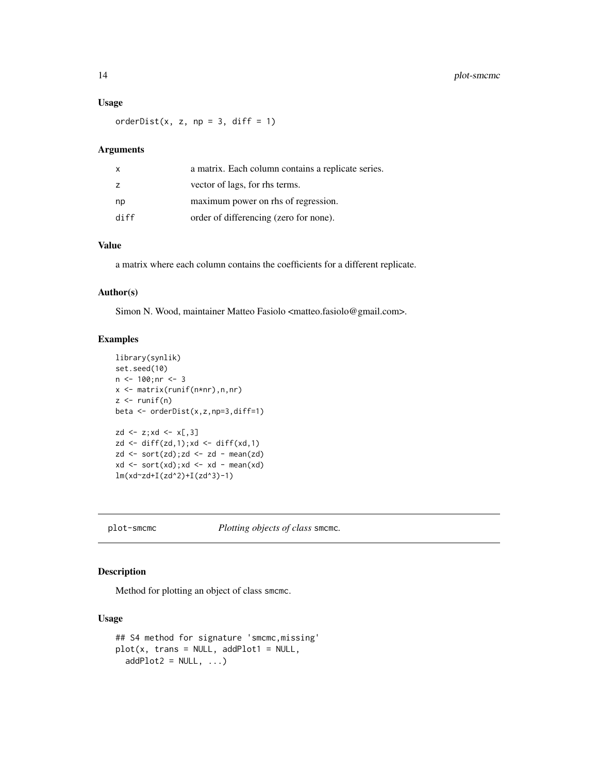# <span id="page-13-0"></span>14 plot-smcmc

#### Usage

orderDist(x, z, np = 3, diff = 1)

# Arguments

| X              | a matrix. Each column contains a replicate series. |
|----------------|----------------------------------------------------|
| $\overline{z}$ | vector of lags, for rhs terms.                     |
| np             | maximum power on rhs of regression.                |
| diff           | order of differencing (zero for none).             |

# Value

a matrix where each column contains the coefficients for a different replicate.

#### Author(s)

Simon N. Wood, maintainer Matteo Fasiolo <matteo.fasiolo@gmail.com>.

# Examples

```
library(synlik)
set.seed(10)
n < -100; nr < -3x <- matrix(runif(n*nr),n,nr)
z \leftarrow runif(n)beta <- orderDist(x,z,np=3,diff=1)
zd \le z;xd \le \times \lbrack, 3]
zd \leftarrow diff(zd,1); xd \leftarrow diff(xd,1)zd \leftarrow sort(zd); zd \leftarrow zd - mean(zd)xd \le -\text{sort}(xd); xd \le -\text{xd} - \text{mean}(xd)lm(xd~zd+I(zd^2)+I(zd^3)-1)
```
plot-smcmc *Plotting objects of class* smcmc*.*

# Description

Method for plotting an object of class smcmc.

#### Usage

```
## S4 method for signature 'smcmc,missing'
plot(x, trans = NULL, addPlot1 = NULL,addPlot2 = NULL, ...)
```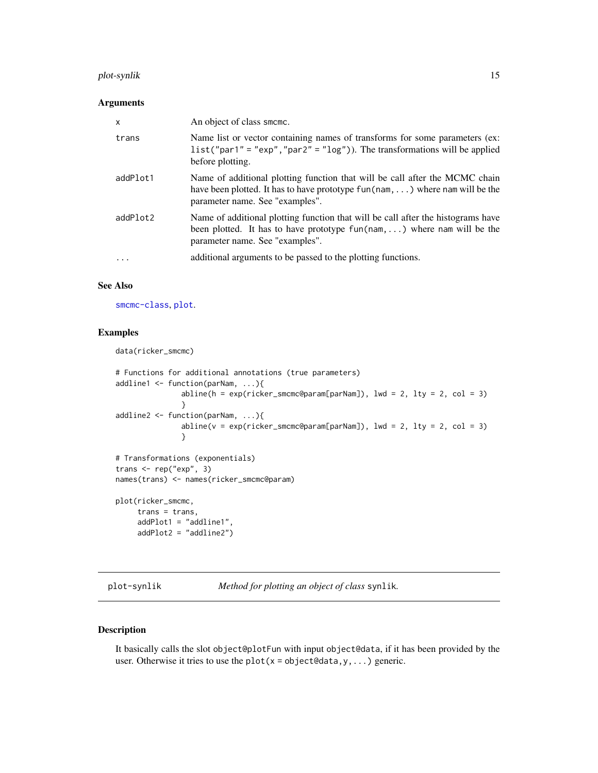# <span id="page-14-0"></span>plot-synlik 15

#### Arguments

| $\times$ | An object of class smcmc.                                                                                                                                                                              |
|----------|--------------------------------------------------------------------------------------------------------------------------------------------------------------------------------------------------------|
| trans    | Name list or vector containing names of transforms for some parameters (ex:<br>$list("par1" = "exp", "par2" = "log")$ . The transformations will be applied<br>before plotting.                        |
| addPlot1 | Name of additional plotting function that will be call after the MCMC chain<br>have been plotted. It has to have prototype $fun(nam, \ldots)$ where nam will be the<br>parameter name. See "examples". |
| addPlot2 | Name of additional plotting function that will be call after the histograms have<br>been plotted. It has to have prototype $fun(nam,)$ where nam will be the<br>parameter name. See "examples".        |
| $\cdot$  | additional arguments to be passed to the plotting functions.                                                                                                                                           |

### See Also

[smcmc-class](#page-24-1), [plot](#page-0-0).

# Examples

```
data(ricker_smcmc)
```

```
# Functions for additional annotations (true parameters)
addline1 <- function(parNam, ...){
               abline(h = exp(ricker_smcmc@param[parNam]), lwd = 2, lty = 2, col = 3)
               }
addline2 <- function(parNam, ...){
               abline(v = exp(ricker_smcmc@param[parNam]), lwd = 2, lty = 2, col = 3)}
# Transformations (exponentials)
trans <- rep("exp", 3)
names(trans) <- names(ricker_smcmc@param)
```

```
plot(ricker_smcmc,
     trans = trans,
     addPlot1 = "addline1",
    addPlot2 = "addline2")
```
plot-synlik *Method for plotting an object of class* synlik*.*

### Description

It basically calls the slot object@plotFun with input object@data, if it has been provided by the user. Otherwise it tries to use the  $plot(x = object0data,y,...)$  generic.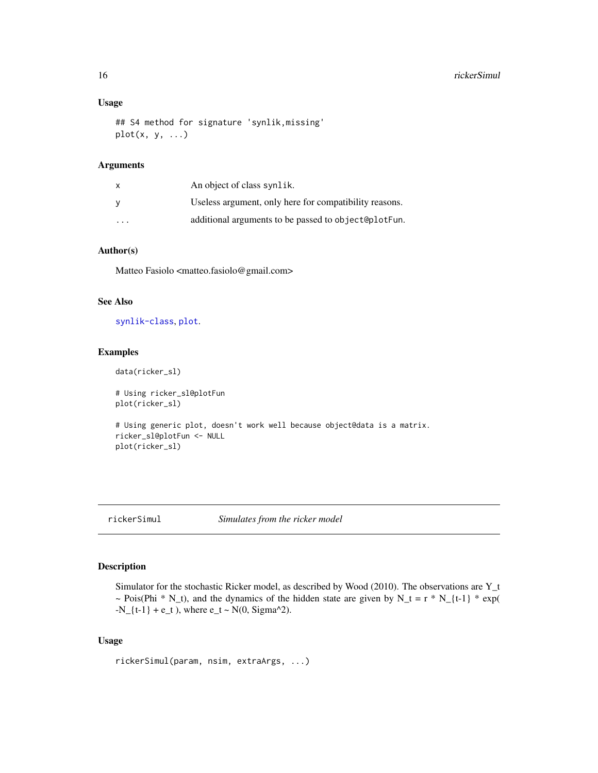## <span id="page-15-0"></span>Usage

```
## S4 method for signature 'synlik,missing'
plot(x, y, ...)
```
#### Arguments

| $\mathsf{x}$ | An object of class synlik.                             |
|--------------|--------------------------------------------------------|
| - V          | Useless argument, only here for compatibility reasons. |
| .            | additional arguments to be passed to object@plotFun.   |

#### Author(s)

Matteo Fasiolo <matteo.fasiolo@gmail.com>

#### See Also

[synlik-class](#page-26-1), [plot](#page-0-0).

#### Examples

data(ricker\_sl)

# Using ricker\_sl@plotFun plot(ricker\_sl)

```
# Using generic plot, doesn't work well because object@data is a matrix.
ricker_sl@plotFun <- NULL
plot(ricker_sl)
```
# <span id="page-15-1"></span>rickerSimul *Simulates from the ricker model*

#### Description

Simulator for the stochastic Ricker model, as described by Wood (2010). The observations are Y\_t ~ Pois(Phi \* N\_t), and the dynamics of the hidden state are given by N\_t = r \* N\_{t-1} \* exp(  $-N_{-} \{t-1\} + e_{-} t$ , where  $e_{-} t \sim N(0, \text{Sigma}^2)$ .

#### Usage

```
rickerSimul(param, nsim, extraArgs, ...)
```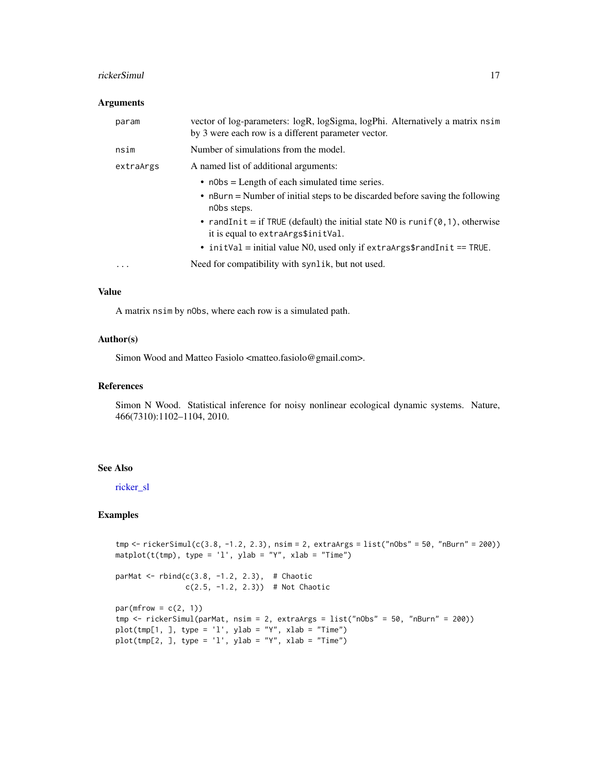#### <span id="page-16-0"></span>rickerSimul 17

#### Arguments

| param     | vector of log-parameters: logR, logSigma, logPhi. Alternatively a matrix nsim<br>by 3 were each row is a different parameter vector.                           |
|-----------|----------------------------------------------------------------------------------------------------------------------------------------------------------------|
| nsim      | Number of simulations from the model.                                                                                                                          |
| extraArgs | A named list of additional arguments:                                                                                                                          |
|           | $\bullet$ n0bs = Length of each simulated time series.<br>$\bullet$ nBurn = Number of initial steps to be discarded before saving the following<br>nobs steps. |
|           | • randInit = if TRUE (default) the initial state N0 is runif( $\theta$ , 1), otherwise<br>it is equal to extraArgs\$initVal.                                   |
|           | • init Val = initial value NO, used only if extra Args $\frac{1}{1}$ = TRUE.                                                                                   |
| $\cdots$  | Need for compatibility with synlik, but not used.                                                                                                              |

### Value

A matrix nsim by nObs, where each row is a simulated path.

# Author(s)

Simon Wood and Matteo Fasiolo <matteo.fasiolo@gmail.com>.

#### References

Simon N Wood. Statistical inference for noisy nonlinear ecological dynamic systems. Nature, 466(7310):1102–1104, 2010.

#### See Also

[ricker\\_sl](#page-17-1)

```
tmp <- rickerSimul(c(3.8, -1.2, 2.3), nsim = 2, extraArgs = list("nObs" = 50, "nBurn" = 200))
\text{matplot}(t(tmp), \text{ type} = 'l', \text{ ylab} = "Y", \text{ xlab} = "Time")parMat <- rbind(c(3.8, -1.2, 2.3), # Chaotic
                 c(2.5, -1.2, 2.3)) # Not Chaotic
par(mfrow = c(2, 1))tmp <- rickerSimul(parMat, nsim = 2, extraArgs = list("nObs" = 50, "nBurn" = 200))
plot(tmp[1, 1, type = 'l', ylab = "Y", xlab = "Time")plot(tmp[2, ], type = 'l', ylab = "Y", xlab = "Time")
```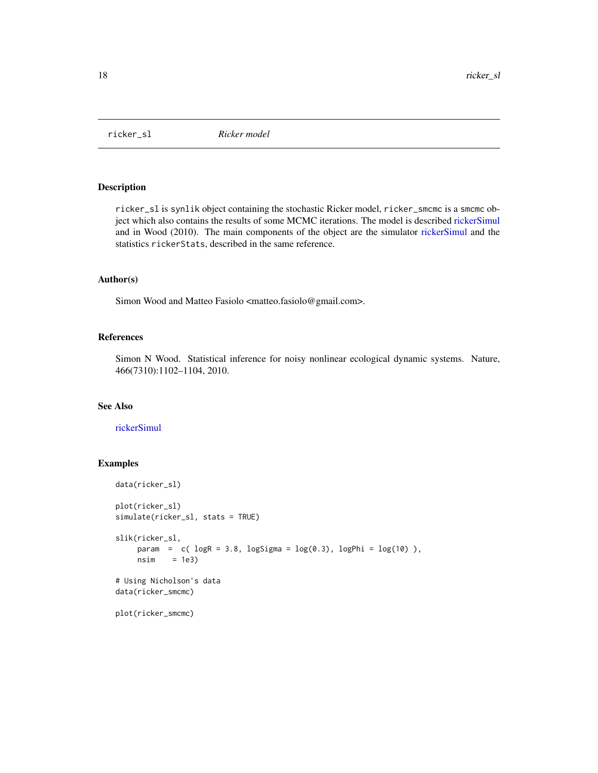<span id="page-17-1"></span><span id="page-17-0"></span>

ricker\_sl is synlik object containing the stochastic Ricker model, ricker\_smcmc is a smcmc object which also contains the results of some MCMC iterations. The model is described [rickerSimul](#page-15-1) and in Wood (2010). The main components of the object are the simulator [rickerSimul](#page-15-1) and the statistics rickerStats, described in the same reference.

# Author(s)

Simon Wood and Matteo Fasiolo <matteo.fasiolo@gmail.com>.

# References

Simon N Wood. Statistical inference for noisy nonlinear ecological dynamic systems. Nature, 466(7310):1102–1104, 2010.

#### See Also

#### [rickerSimul](#page-15-1)

```
data(ricker_sl)
plot(ricker_sl)
simulate(ricker_sl, stats = TRUE)
slik(ricker_sl,
    param = c( logR = 3.8, logSigma = log(0.3), logPhi = log(10)),nsim = 1e3# Using Nicholson's data
data(ricker_smcmc)
plot(ricker_smcmc)
```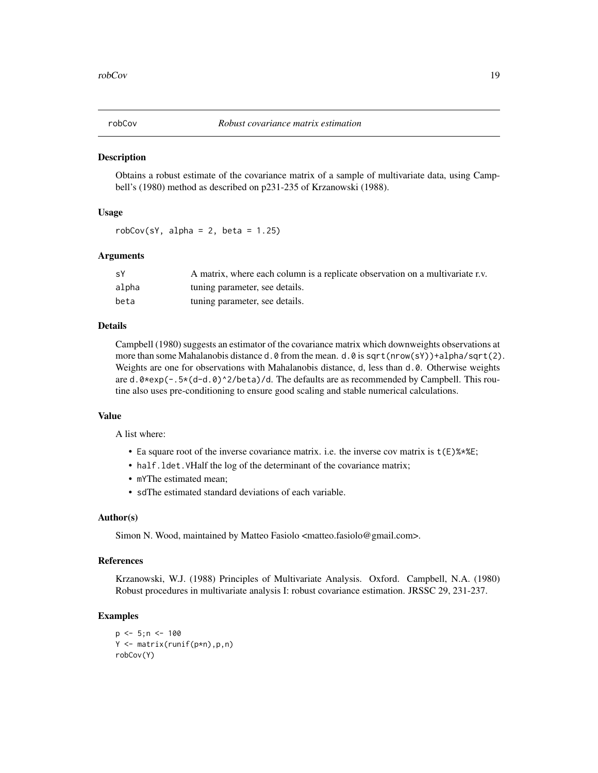<span id="page-18-0"></span>

Obtains a robust estimate of the covariance matrix of a sample of multivariate data, using Campbell's (1980) method as described on p231-235 of Krzanowski (1988).

# Usage

 $robCov(sY, alpha = 2, beta = 1.25)$ 

#### Arguments

| sY    | A matrix, where each column is a replicate observation on a multivariate r.v. |
|-------|-------------------------------------------------------------------------------|
| alpha | tuning parameter, see details.                                                |
| beta  | tuning parameter, see details.                                                |

#### Details

Campbell (1980) suggests an estimator of the covariance matrix which downweights observations at more than some Mahalanobis distance d.0 from the mean. d.0 is sqrt(nrow(sY))+alpha/sqrt(2). Weights are one for observations with Mahalanobis distance, d, less than d.0. Otherwise weights are d.0\*exp(-.5\*(d-d.0)^2/beta)/d. The defaults are as recommended by Campbell. This routine also uses pre-conditioning to ensure good scaling and stable numerical calculations.

#### Value

A list where:

- Ea square root of the inverse covariance matrix. i.e. the inverse cov matrix is  $t(E)$ %\*%E;
- half.ldet.VHalf the log of the determinant of the covariance matrix;
- mYThe estimated mean;
- sdThe estimated standard deviations of each variable.

#### Author(s)

Simon N. Wood, maintained by Matteo Fasiolo <matteo.fasiolo@gmail.com>.

# References

Krzanowski, W.J. (1988) Principles of Multivariate Analysis. Oxford. Campbell, N.A. (1980) Robust procedures in multivariate analysis I: robust covariance estimation. JRSSC 29, 231-237.

```
p \le -5; n \le -100Y <- matrix(runif(p*n),p,n)
robCov(Y)
```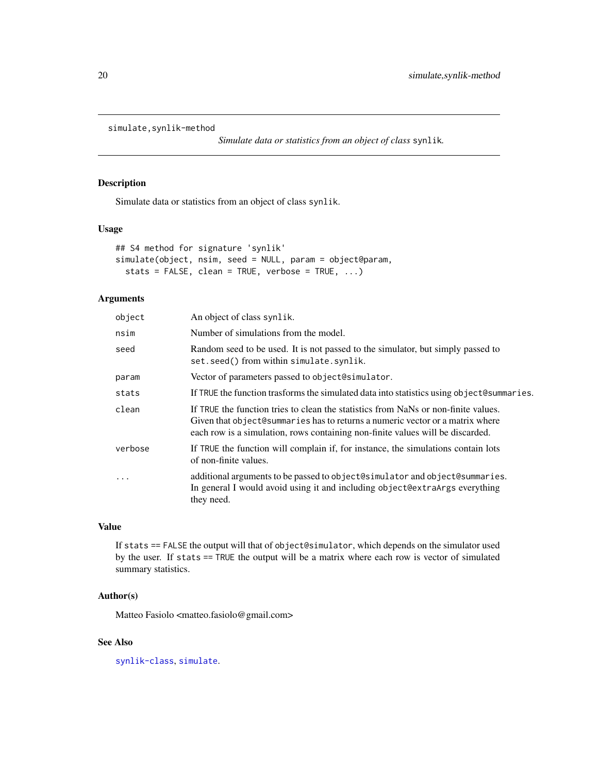```
simulate,synlik-method
```
*Simulate data or statistics from an object of class* synlik*.*

# Description

Simulate data or statistics from an object of class synlik.

#### Usage

```
## S4 method for signature 'synlik'
simulate(object, nsim, seed = NULL, param = object@param,
 stats = FALSE, clean = TRUE, verbose = TRUE, ...)
```
# Arguments

| object    | An object of class synlik.                                                                                                                                                                                                                            |
|-----------|-------------------------------------------------------------------------------------------------------------------------------------------------------------------------------------------------------------------------------------------------------|
| nsim      | Number of simulations from the model.                                                                                                                                                                                                                 |
| seed      | Random seed to be used. It is not passed to the simulator, but simply passed to<br>set.seed() from within simulate.synlik.                                                                                                                            |
| param     | Vector of parameters passed to object@simulator.                                                                                                                                                                                                      |
| stats     | If TRUE the function trasforms the simulated data into statistics using object@summaries.                                                                                                                                                             |
| clean     | If TRUE the function tries to clean the statistics from NaNs or non-finite values.<br>Given that object@summaries has to returns a numeric vector or a matrix where<br>each row is a simulation, rows containing non-finite values will be discarded. |
| verbose   | If TRUE the function will complain if, for instance, the simulations contain lots<br>of non-finite values.                                                                                                                                            |
| $\ddotsc$ | additional arguments to be passed to object@simulator and object@summaries.<br>In general I would avoid using it and including object@extraArgs everything<br>they need.                                                                              |

# Value

If stats == FALSE the output will that of object@simulator, which depends on the simulator used by the user. If stats == TRUE the output will be a matrix where each row is vector of simulated summary statistics.

# Author(s)

Matteo Fasiolo <matteo.fasiolo@gmail.com>

# See Also

[synlik-class](#page-26-1), [simulate](#page-0-0).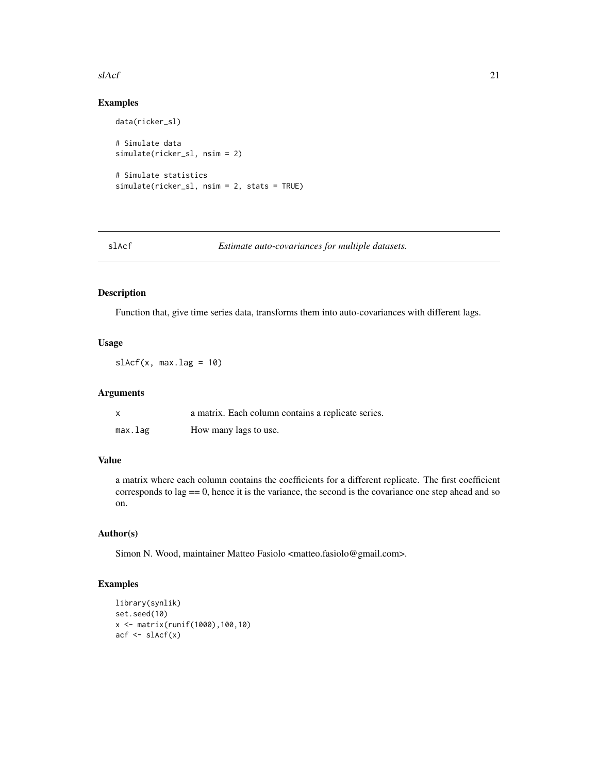#### <span id="page-20-0"></span> $sAcf$  21

# Examples

```
data(ricker_sl)
# Simulate data
simulate(ricker_sl, nsim = 2)
# Simulate statistics
simulate(ricker_sl, nsim = 2, stats = TRUE)
```
slAcf *Estimate auto-covariances for multiple datasets.*

#### Description

Function that, give time series data, transforms them into auto-covariances with different lags.

# Usage

 $slAcf(x, max.lang = 10)$ 

#### Arguments

| $\boldsymbol{\mathsf{x}}$ | a matrix. Each column contains a replicate series. |
|---------------------------|----------------------------------------------------|
| max.lag                   | How many lags to use.                              |

# Value

a matrix where each column contains the coefficients for a different replicate. The first coefficient corresponds to  $lag == 0$ , hence it is the variance, the second is the covariance one step ahead and so on.

#### Author(s)

Simon N. Wood, maintainer Matteo Fasiolo <matteo.fasiolo@gmail.com>.

```
library(synlik)
set.seed(10)
x <- matrix(runif(1000),100,10)
acf \leftarrow slAcf(x)
```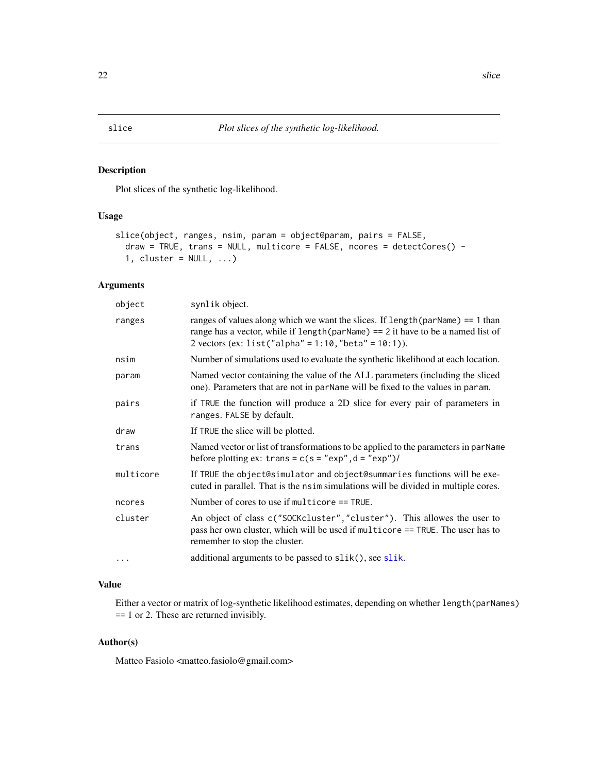<span id="page-21-0"></span>Plot slices of the synthetic log-likelihood.

#### Usage

```
slice(object, ranges, nsim, param = object@param, pairs = FALSE,
  draw = TRUE, trans = NULL, multicore = FALSE, ncores = detectCores() -
  1, cluster = NULL, ...)
```
# Arguments

| object    | synlik object.                                                                                                                                                                                                                    |  |
|-----------|-----------------------------------------------------------------------------------------------------------------------------------------------------------------------------------------------------------------------------------|--|
| ranges    | ranges of values along which we want the slices. If $l$ ength $(parName) == 1$ than<br>range has a vector, while if length (parName) == $2$ it have to be a named list of<br>2 vectors (ex: list("alpha" = 1:10, "beta" = 10:1)). |  |
| nsim      | Number of simulations used to evaluate the synthetic likelihood at each location.                                                                                                                                                 |  |
| param     | Named vector containing the value of the ALL parameters (including the sliced<br>one). Parameters that are not in parName will be fixed to the values in param.                                                                   |  |
| pairs     | if TRUE the function will produce a 2D slice for every pair of parameters in<br>ranges. FALSE by default.                                                                                                                         |  |
| draw      | If TRUE the slice will be plotted.                                                                                                                                                                                                |  |
| trans     | Named vector or list of transformations to be applied to the parameters in parName<br>before plotting ex: trans = $c(s = "exp", d = "exp")$ /                                                                                     |  |
| multicore | If TRUE the object@simulator and object@summaries functions will be exe-<br>cuted in parallel. That is the nsimulations will be divided in multiple cores.                                                                        |  |
| ncores    | Number of cores to use if multicore $==$ TRUE.                                                                                                                                                                                    |  |
| cluster   | An object of class c("SOCKcluster", "cluster"). This allowes the user to<br>pass her own cluster, which will be used if multicore == TRUE. The user has to<br>remember to stop the cluster.                                       |  |
| .         | additional arguments to be passed to slik(), see slik.                                                                                                                                                                            |  |
|           |                                                                                                                                                                                                                                   |  |

# Value

Either a vector or matrix of log-synthetic likelihood estimates, depending on whether length(parNames) == 1 or 2. These are returned invisibly.

# Author(s)

Matteo Fasiolo <matteo.fasiolo@gmail.com>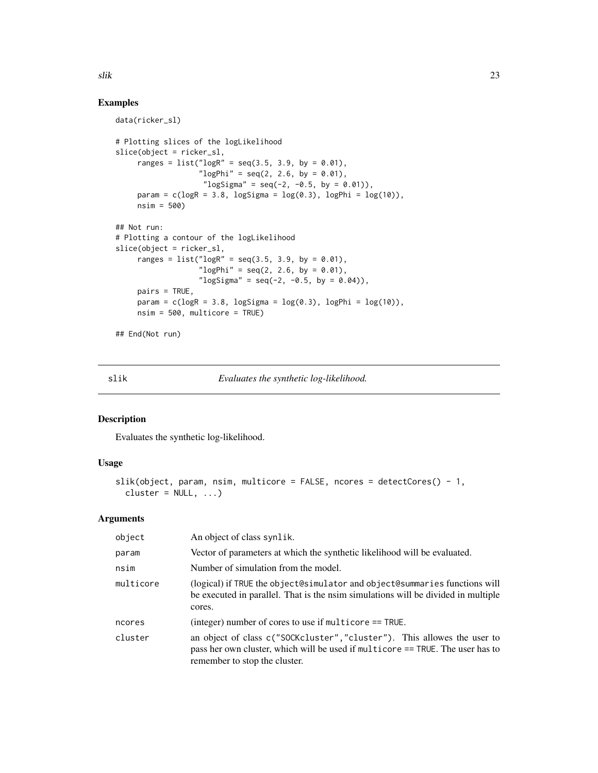# Examples

```
data(ricker_sl)
# Plotting slices of the logLikelihood
slice(object = ricker_sl,
     ranges = list("logR" = seq(3.5, 3.9, by = 0.01),"logPhi" = seq(2, 2.6, by = 0.01),"\logSigma" = seq(-2, -0.5, by = 0.01)),
     param = c(\text{log}R = 3.8, \text{log}Sigma = \log(0.3), \text{log}Phi = \log(10)),nsim = 500)
## Not run:
# Plotting a contour of the logLikelihood
slice(object = ricker_sl,
     ranges = list("logR" = seq(3.5, 3.9, by = 0.01),"logPhi" = seq(2, 2.6, by = 0.01),"\logSigma" = seq(-2, -0.5, by = 0.04)),
     pairs = TRUE,
     param = c(\text{log}R = 3.8, \text{log}Sigma = \log(0.3), \text{log}Phi = \log(10)),nsim = 500, multicore = TRUE)
```
## End(Not run)

<span id="page-22-1"></span>slik *Evaluates the synthetic log-likelihood.*

# Description

Evaluates the synthetic log-likelihood.

# Usage

```
slik(object, param, nsim, multicore = FALSE, ncores = detectCores() - 1,
 cluster = NULL, ...)
```
#### Arguments

| object    | An object of class synlik.                                                                                                                                                                  |
|-----------|---------------------------------------------------------------------------------------------------------------------------------------------------------------------------------------------|
| param     | Vector of parameters at which the synthetic likelihood will be evaluated.                                                                                                                   |
| nsim      | Number of simulation from the model.                                                                                                                                                        |
| multicore | (logical) if TRUE the object@simulator and object@summaries functions will<br>be executed in parallel. That is the nsim simulations will be divided in multiple<br>cores.                   |
| ncores    | (integer) number of cores to use if multicore $==$ TRUE.                                                                                                                                    |
| cluster   | an object of class c("SOCKcluster", "cluster"). This allowes the user to<br>pass her own cluster, which will be used if multicore == TRUE. The user has to<br>remember to stop the cluster. |

<span id="page-22-0"></span> $\frac{1}{2}$ slik 23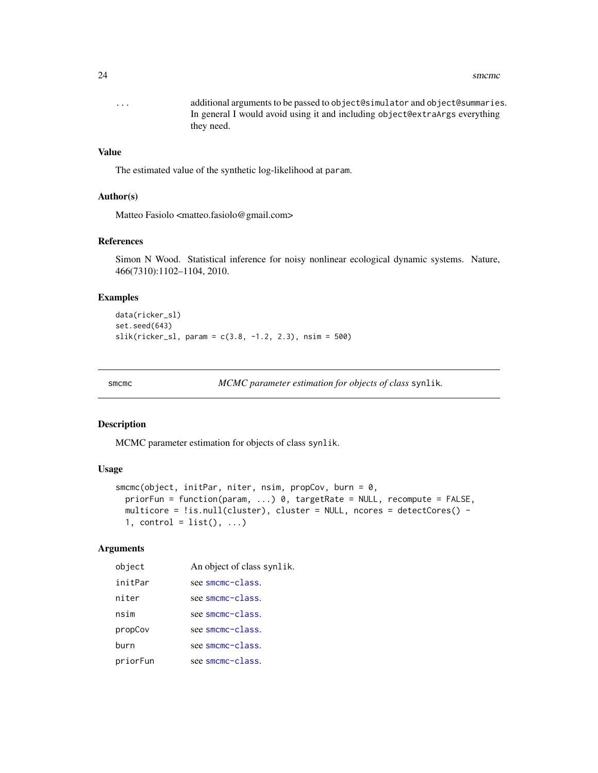#### <span id="page-23-0"></span>24 smcmc

... additional arguments to be passed to object@simulator and object@summaries. In general I would avoid using it and including object@extraArgs everything they need.

# Value

The estimated value of the synthetic log-likelihood at param.

# Author(s)

Matteo Fasiolo <matteo.fasiolo@gmail.com>

#### References

Simon N Wood. Statistical inference for noisy nonlinear ecological dynamic systems. Nature, 466(7310):1102–1104, 2010.

# Examples

```
data(ricker_sl)
set.seed(643)
slik(ricker_sl, param = c(3.8, -1.2, 2.3), nsim = 500)
```
smcmc *MCMC parameter estimation for objects of class* synlik*.*

# Description

MCMC parameter estimation for objects of class synlik.

#### Usage

```
smcmc(object, initPar, niter, nsim, propCov, burn = 0,
 priorFun = function(param, ...) 0, targetRate = NULL, recompute = FALSE,
 multicore = !is.null(cluster), cluster = NULL, ncores = detectCores() -
 1, control = list(), ...)
```
# Arguments

| object   | An object of class synlik. |
|----------|----------------------------|
| initPar  | see smcmc-class.           |
| niter    | see smcmc-class.           |
| nsim     | see smcmc-class.           |
| propCov  | see smcmc-class.           |
| burn     | see smcmc-class.           |
| priorFun | see smcmc-class.           |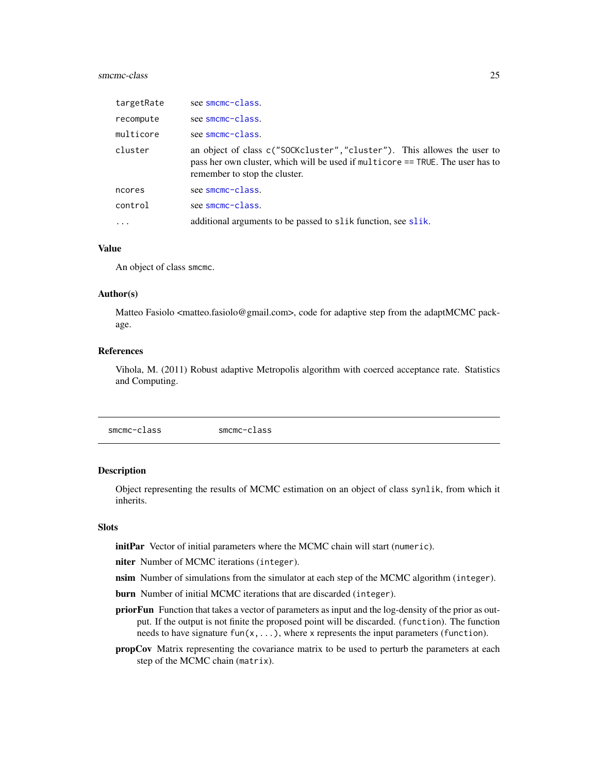#### <span id="page-24-0"></span>smcmc-class 25

| targetRate | see smcmc-class.                                                                                                                                                                           |
|------------|--------------------------------------------------------------------------------------------------------------------------------------------------------------------------------------------|
| recompute  | see smcmc-class.                                                                                                                                                                           |
| multicore  | see smcmc-class.                                                                                                                                                                           |
| cluster    | an object of class c("SOCKcluster","cluster"). This allowes the user to<br>pass her own cluster, which will be used if multicore == TRUE. The user has to<br>remember to stop the cluster. |
| ncores     | see smcmc-class.                                                                                                                                                                           |
| control    | see smcmc-class.                                                                                                                                                                           |
| $\ddotsc$  | additional arguments to be passed to slik function, see slik.                                                                                                                              |

#### Value

An object of class smcmc.

#### Author(s)

Matteo Fasiolo <matteo.fasiolo@gmail.com>, code for adaptive step from the adaptMCMC package.

# References

Vihola, M. (2011) Robust adaptive Metropolis algorithm with coerced acceptance rate. Statistics and Computing.

<span id="page-24-1"></span>smcmc-class smcmc-class

#### Description

Object representing the results of MCMC estimation on an object of class synlik, from which it inherits.

#### Slots

initPar Vector of initial parameters where the MCMC chain will start (numeric).

niter Number of MCMC iterations (integer).

- nsim Number of simulations from the simulator at each step of the MCMC algorithm (integer).
- burn Number of initial MCMC iterations that are discarded (integer).
- **priorFun** Function that takes a vector of parameters as input and the log-density of the prior as output. If the output is not finite the proposed point will be discarded. (function). The function needs to have signature fun(x, ...), where x represents the input parameters (function).
- propCov Matrix representing the covariance matrix to be used to perturb the parameters at each step of the MCMC chain (matrix).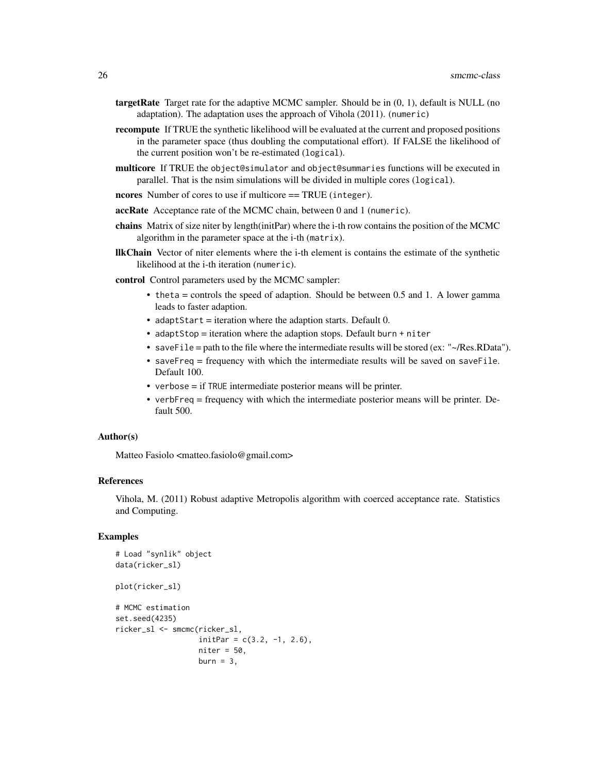- **targetRate** Target rate for the adaptive MCMC sampler. Should be in  $(0, 1)$ , default is NULL (no adaptation). The adaptation uses the approach of Vihola (2011). (numeric)
- recompute If TRUE the synthetic likelihood will be evaluated at the current and proposed positions in the parameter space (thus doubling the computational effort). If FALSE the likelihood of the current position won't be re-estimated (logical).
- multicore If TRUE the object@simulator and object@summaries functions will be executed in parallel. That is the nsim simulations will be divided in multiple cores (logical).

ncores Number of cores to use if multicore == TRUE (integer).

accRate Acceptance rate of the MCMC chain, between 0 and 1 (numeric).

- chains Matrix of size niter by length(initPar) where the i-th row contains the position of the MCMC algorithm in the parameter space at the i-th (matrix).
- llkChain Vector of niter elements where the i-th element is contains the estimate of the synthetic likelihood at the i-th iteration (numeric).

control Control parameters used by the MCMC sampler:

- theta = controls the speed of adaption. Should be between 0.5 and 1. A lower gamma leads to faster adaption.
- adaptStart = iteration where the adaption starts. Default 0.
- adaptStop = iteration where the adaption stops. Default burn + niter
- saveFile = path to the file where the intermediate results will be stored (ex: " $\sim$ /Res.RData").
- saveFreq = frequency with which the intermediate results will be saved on saveFile. Default 100.
- verbose = if TRUE intermediate posterior means will be printer.
- verbFreq = frequency with which the intermediate posterior means will be printer. Default 500.

#### Author(s)

Matteo Fasiolo <matteo.fasiolo@gmail.com>

# References

Vihola, M. (2011) Robust adaptive Metropolis algorithm with coerced acceptance rate. Statistics and Computing.

```
# Load "synlik" object
data(ricker_sl)
plot(ricker_sl)
# MCMC estimation
set.seed(4235)
ricker_sl <- smcmc(ricker_sl,
                   initPar = c(3.2, -1, 2.6),
                   niter = 50,
                   burn = 3,
```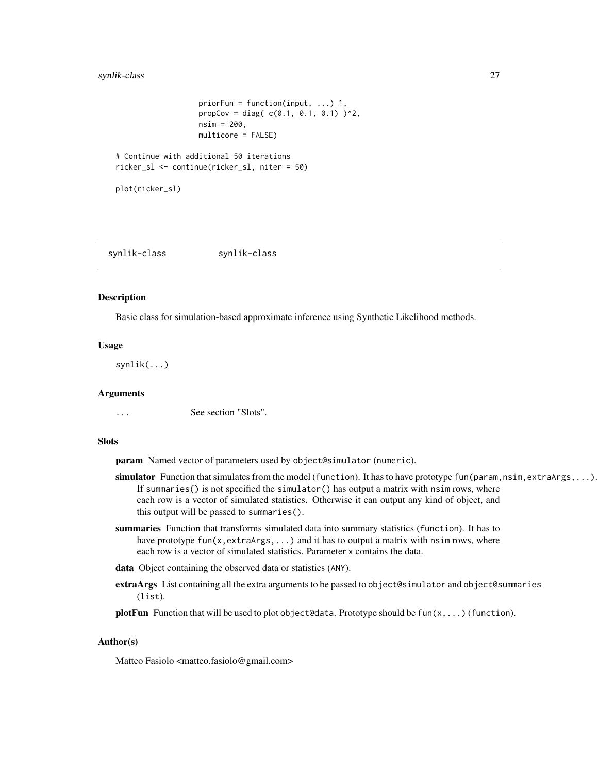# <span id="page-26-0"></span>synlik-class 27

```
priorFun = function(input, ...) 1,
                   propCov = diag(c(0.1, 0.1, 0.1))^2,
                   nsim = 200,
                  multicore = FALSE)
# Continue with additional 50 iterations
ricker_sl <- continue(ricker_sl, niter = 50)
```

```
plot(ricker_sl)
```
<span id="page-26-1"></span>synlik-class synlik-class

#### **Description**

Basic class for simulation-based approximate inference using Synthetic Likelihood methods.

#### Usage

synlik(...)

#### Arguments

... See section "Slots".

# **Slots**

param Named vector of parameters used by object@simulator (numeric).

- simulator Function that simulates from the model (function). It has to have prototype fun (param, nsim, extraArgs, ...). If summaries() is not specified the simulator() has output a matrix with nsim rows, where each row is a vector of simulated statistics. Otherwise it can output any kind of object, and this output will be passed to summaries().
- summaries Function that transforms simulated data into summary statistics (function). It has to have prototype fun(x, extraArgs,  $\dots$ ) and it has to output a matrix with nsim rows, where each row is a vector of simulated statistics. Parameter x contains the data.
- data Object containing the observed data or statistics (ANY).
- extraArgs List containing all the extra arguments to be passed to object@simulator and object@summaries (list).

**plotFun** Function that will be used to plot object@data. Prototype should be  $fun(x, \ldots)$  (function).

### Author(s)

Matteo Fasiolo <matteo.fasiolo@gmail.com>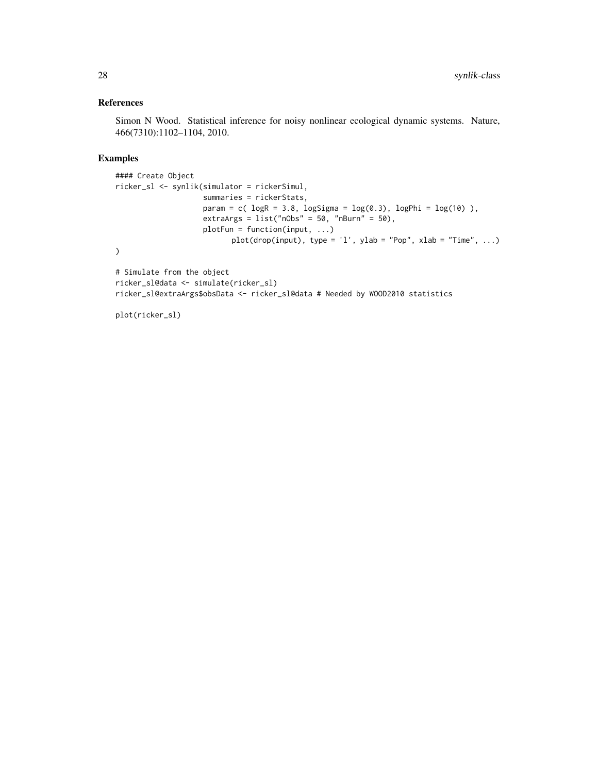# References

Simon N Wood. Statistical inference for noisy nonlinear ecological dynamic systems. Nature, 466(7310):1102–1104, 2010.

```
#### Create Object
ricker_sl <- synlik(simulator = rickerSimul,
                    summaries = rickerStats,
                    param = c( logR = 3.8, logSigma = log(0.3), logPhi = log(10)),extraArgs = list("nObs" = 50, "nBurn" = 50),plotFun = function(input, ...)
                          plot(drop(input), type = 'l', ylab = "Pop", xlab = "Time", ...)
)
# Simulate from the object
ricker_sl@data <- simulate(ricker_sl)
ricker_sl@extraArgs$obsData <- ricker_sl@data # Needed by WOOD2010 statistics
```

```
plot(ricker_sl)
```